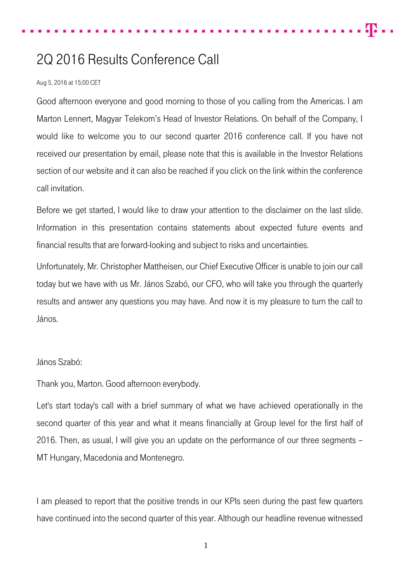## 2Q 2016 Results Conference Call

## Aug 5, 2016 at 15:00 CET

Good afternoon everyone and good morning to those of you calling from the Americas. I am Marton Lennert, Magyar Telekom's Head of Investor Relations. On behalf of the Company, I would like to welcome you to our second quarter 2016 conference call. If you have not received our presentation by email, please note that this is available in the Investor Relations section of our website and it can also be reached if you click on the link within the conference call invitation.

Before we get started, I would like to draw your attention to the disclaimer on the last slide. Information in this presentation contains statements about expected future events and financial results that are forward-looking and subject to risks and uncertainties.

Unfortunately, Mr. Christopher Mattheisen, our Chief Executive Officer is unable to join our call today but we have with us Mr. János Szabó, our CFO, who will take you through the quarterly results and answer any questions you may have. And now it is my pleasure to turn the call to János.

## János Szabó:

Thank you, Marton. Good afternoon everybody.

Let's start today's call with a brief summary of what we have achieved operationally in the second quarter of this year and what it means financially at Group level for the first half of 2016. Then, as usual, I will give you an update on the performance of our three segments – MT Hungary, Macedonia and Montenegro.

I am pleased to report that the positive trends in our KPIs seen during the past few quarters have continued into the second quarter of this year. Although our headline revenue witnessed

1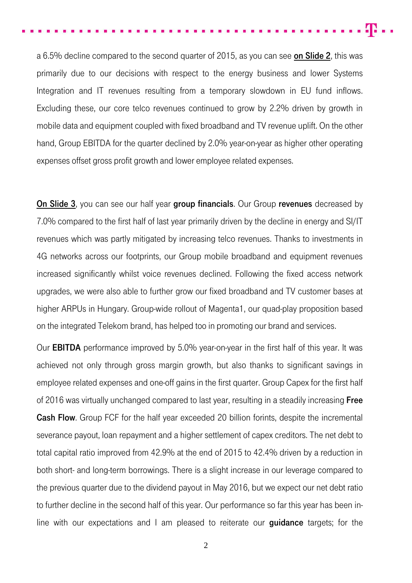a 6.5% decline compared to the second quarter of 2015, as you can see on Slide 2, this was primarily due to our decisions with respect to the energy business and lower Systems Integration and IT revenues resulting from a temporary slowdown in EU fund inflows. Excluding these, our core telco revenues continued to grow by 2.2% driven by growth in mobile data and equipment coupled with fixed broadband and TV revenue uplift. On the other hand, Group EBITDA for the quarter declined by 2.0% year-on-year as higher other operating expenses offset gross profit growth and lower employee related expenses.

On Slide 3, you can see our half year group financials. Our Group revenues decreased by 7.0% compared to the first half of last year primarily driven by the decline in energy and SI/IT revenues which was partly mitigated by increasing telco revenues. Thanks to investments in 4G networks across our footprints, our Group mobile broadband and equipment revenues increased significantly whilst voice revenues declined. Following the fixed access network upgrades, we were also able to further grow our fixed broadband and TV customer bases at higher ARPUs in Hungary. Group-wide rollout of Magenta1, our quad-play proposition based on the integrated Telekom brand, has helped too in promoting our brand and services.

Our EBITDA performance improved by 5.0% year-on-year in the first half of this year. It was achieved not only through gross margin growth, but also thanks to significant savings in employee related expenses and one-off gains in the first quarter. Group Capex for the first half of 2016 was virtually unchanged compared to last year, resulting in a steadily increasing **Free Cash Flow.** Group FCF for the half year exceeded 20 billion forints, despite the incremental severance payout, loan repayment and a higher settlement of capex creditors. The net debt to total capital ratio improved from 42.9% at the end of 2015 to 42.4% driven by a reduction in both short- and long-term borrowings. There is a slight increase in our leverage compared to the previous quarter due to the dividend payout in May 2016, but we expect our net debt ratio to further decline in the second half of this year. Our performance so far this year has been inline with our expectations and I am pleased to reiterate our **guidance** targets; for the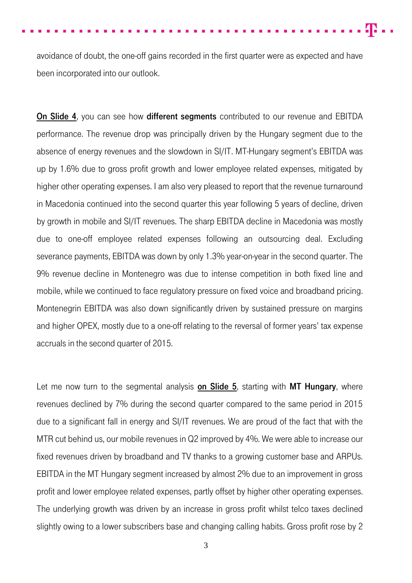avoidance of doubt, the one-off gains recorded in the first quarter were as expected and have been incorporated into our outlook.

On Slide 4, you can see how different segments contributed to our revenue and EBITDA performance. The revenue drop was principally driven by the Hungary segment due to the absence of energy revenues and the slowdown in SI/IT. MT-Hungary segment's EBITDA was up by 1.6% due to gross profit growth and lower employee related expenses, mitigated by higher other operating expenses. I am also very pleased to report that the revenue turnaround in Macedonia continued into the second quarter this year following 5 years of decline, driven by growth in mobile and SI/IT revenues. The sharp EBITDA decline in Macedonia was mostly due to one-off employee related expenses following an outsourcing deal. Excluding severance payments, EBITDA was down by only 1.3% year-on-year in the second quarter. The 9% revenue decline in Montenegro was due to intense competition in both fixed line and mobile, while we continued to face regulatory pressure on fixed voice and broadband pricing. Montenegrin EBITDA was also down significantly driven by sustained pressure on margins and higher OPEX, mostly due to a one-off relating to the reversal of former years' tax expense accruals in the second quarter of 2015.

Let me now turn to the segmental analysis on Slide 5, starting with MT Hungary, where revenues declined by 7% during the second quarter compared to the same period in 2015 due to a significant fall in energy and SI/IT revenues. We are proud of the fact that with the MTR cut behind us, our mobile revenues in Q2 improved by 4%. We were able to increase our fixed revenues driven by broadband and TV thanks to a growing customer base and ARPUs. EBITDA in the MT Hungary segment increased by almost 2% due to an improvement in gross profit and lower employee related expenses, partly offset by higher other operating expenses. The underlying growth was driven by an increase in gross profit whilst telco taxes declined slightly owing to a lower subscribers base and changing calling habits. Gross profit rose by 2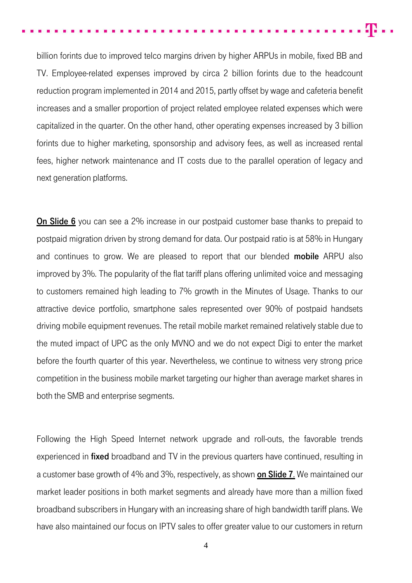m.,

billion forints due to improved telco margins driven by higher ARPUs in mobile, fixed BB and TV. Employee-related expenses improved by circa 2 billion forints due to the headcount reduction program implemented in 2014 and 2015, partly offset by wage and cafeteria benefit increases and a smaller proportion of project related employee related expenses which were capitalized in the quarter. On the other hand, other operating expenses increased by 3 billion forints due to higher marketing, sponsorship and advisory fees, as well as increased rental fees, higher network maintenance and IT costs due to the parallel operation of legacy and next generation platforms.

**On Slide 6** you can see a 2% increase in our postpaid customer base thanks to prepaid to postpaid migration driven by strong demand for data. Our postpaid ratio is at 58% in Hungary and continues to grow. We are pleased to report that our blended **mobile** ARPU also improved by 3%. The popularity of the flat tariff plans offering unlimited voice and messaging to customers remained high leading to 7% growth in the Minutes of Usage. Thanks to our attractive device portfolio, smartphone sales represented over 90% of postpaid handsets driving mobile equipment revenues. The retail mobile market remained relatively stable due to the muted impact of UPC as the only MVNO and we do not expect Digi to enter the market before the fourth quarter of this year. Nevertheless, we continue to witness very strong price competition in the business mobile market targeting our higher than average market shares in both the SMB and enterprise segments.

Following the High Speed Internet network upgrade and roll-outs, the favorable trends experienced in **fixed** broadband and TV in the previous quarters have continued, resulting in a customer base growth of 4% and 3%, respectively, as shown on Slide 7. We maintained our market leader positions in both market segments and already have more than a million fixed broadband subscribers in Hungary with an increasing share of high bandwidth tariff plans. We have also maintained our focus on IPTV sales to offer greater value to our customers in return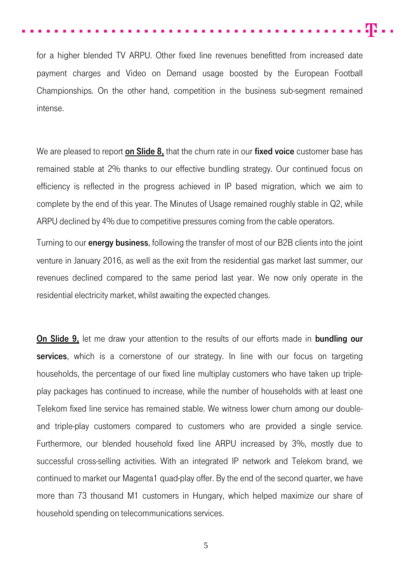for a higher blended TV ARPU. Other fixed line revenues benefitted from increased date payment charges and Video on Demand usage boosted by the European Football Championships. On the other hand, competition in the business sub-segment remained intense.

We are pleased to report on Slide 8, that the churn rate in our fixed voice customer base has remained stable at 2% thanks to our effective bundling strategy. Our continued focus on efficiency is reflected in the progress achieved in IP based migration, which we aim to complete by the end of this year. The Minutes of Usage remained roughly stable in Q2, while ARPU declined by 4% due to competitive pressures coming from the cable operators.

Turning to our **energy business**, following the transfer of most of our B2B clients into the joint venture in January 2016, as well as the exit from the residential gas market last summer, our revenues declined compared to the same period last year. We now only operate in the residential electricity market, whilst awaiting the expected changes.

On Slide 9, let me draw your attention to the results of our efforts made in bundling our services, which is a cornerstone of our strategy. In line with our focus on targeting households, the percentage of our fixed line multiplay customers who have taken up tripleplay packages has continued to increase, while the number of households with at least one Telekom fixed line service has remained stable. We witness lower churn among our doubleand triple-play customers compared to customers who are provided a single service. Furthermore, our blended household fixed line ARPU increased by 3%, mostly due to successful cross-selling activities. With an integrated IP network and Telekom brand, we continued to market our Magenta1 quad-play offer. By the end of the second quarter, we have more than 73 thousand M1 customers in Hungary, which helped maximize our share of household spending on telecommunications services.

5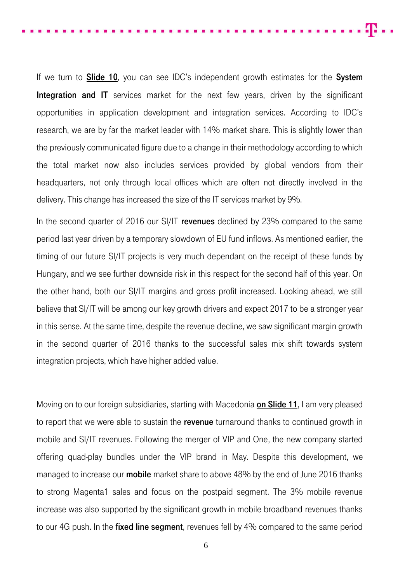40 m

If we turn to **Slide 10**, you can see IDC's independent growth estimates for the **System** Integration and IT services market for the next few years, driven by the significant opportunities in application development and integration services. According to IDC's research, we are by far the market leader with 14% market share. This is slightly lower than the previously communicated figure due to a change in their methodology according to which the total market now also includes services provided by global vendors from their headquarters, not only through local offices which are often not directly involved in the delivery. This change has increased the size of the IT services market by 9%.

In the second quarter of 2016 our SI/IT revenues declined by 23% compared to the same period last year driven by a temporary slowdown of EU fund inflows. As mentioned earlier, the timing of our future SI/IT projects is very much dependant on the receipt of these funds by Hungary, and we see further downside risk in this respect for the second half of this year. On the other hand, both our SI/IT margins and gross profit increased. Looking ahead, we still believe that SI/IT will be among our key growth drivers and expect 2017 to be a stronger year in this sense. At the same time, despite the revenue decline, we saw significant margin growth in the second quarter of 2016 thanks to the successful sales mix shift towards system integration projects, which have higher added value.

Moving on to our foreign subsidiaries, starting with Macedonia on Slide 11, I am very pleased to report that we were able to sustain the revenue turnaround thanks to continued growth in mobile and SI/IT revenues. Following the merger of VIP and One, the new company started offering quad-play bundles under the VIP brand in May. Despite this development, we managed to increase our **mobile** market share to above 48% by the end of June 2016 thanks to strong Magenta1 sales and focus on the postpaid segment. The 3% mobile revenue increase was also supported by the significant growth in mobile broadband revenues thanks to our 4G push. In the fixed line segment, revenues fell by 4% compared to the same period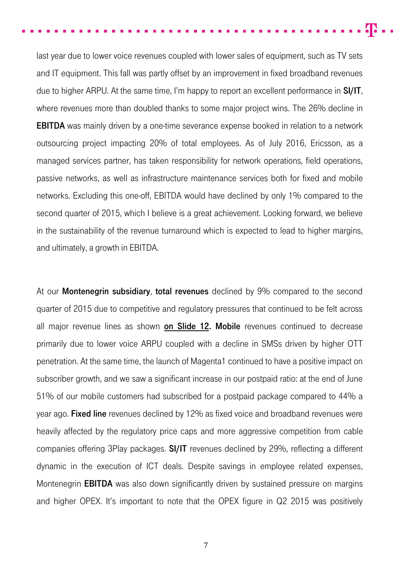m.,

last year due to lower voice revenues coupled with lower sales of equipment, such as TV sets and IT equipment. This fall was partly offset by an improvement in fixed broadband revenues due to higher ARPU. At the same time, I'm happy to report an excellent performance in SI/IT, where revenues more than doubled thanks to some major project wins. The 26% decline in **EBITDA** was mainly driven by a one-time severance expense booked in relation to a network outsourcing project impacting 20% of total employees. As of July 2016, Ericsson, as a managed services partner, has taken responsibility for network operations, field operations, passive networks, as well as infrastructure maintenance services both for fixed and mobile networks. Excluding this one-off, EBITDA would have declined by only 1% compared to the second quarter of 2015, which I believe is a great achievement. Looking forward, we believe in the sustainability of the revenue turnaround which is expected to lead to higher margins, and ultimately, a growth in EBITDA.

At our **Montenegrin subsidiary, total revenues** declined by 9% compared to the second quarter of 2015 due to competitive and regulatory pressures that continued to be felt across all major revenue lines as shown on Slide 12. Mobile revenues continued to decrease primarily due to lower voice ARPU coupled with a decline in SMSs driven by higher OTT penetration. At the same time, the launch of Magenta1 continued to have a positive impact on subscriber growth, and we saw a significant increase in our postpaid ratio: at the end of June 51% of our mobile customers had subscribed for a postpaid package compared to 44% a year ago. **Fixed line** revenues declined by 12% as fixed voice and broadband revenues were heavily affected by the regulatory price caps and more aggressive competition from cable companies offering 3Play packages. SI/IT revenues declined by 29%, reflecting a different dynamic in the execution of ICT deals. Despite savings in employee related expenses, Montenegrin **EBITDA** was also down significantly driven by sustained pressure on margins and higher OPEX. It's important to note that the OPEX figure in Q2 2015 was positively

7